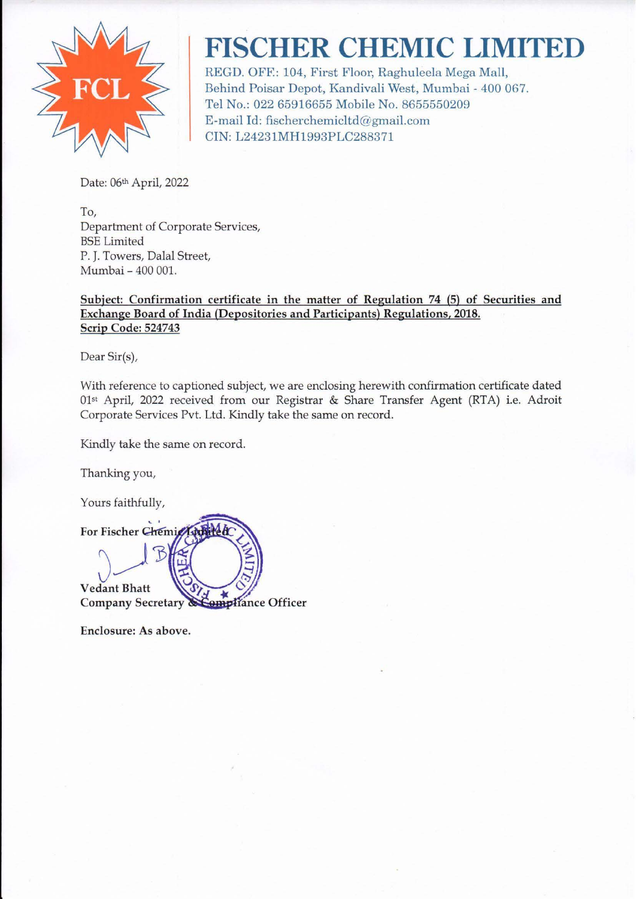

## **FISCHER CHEMIC LIMITED**

REGD. OFF: 104, First Floor, Raghulecla Mega Mall, Behind Poisar Depot, Kandivali West, Mumbai - 400 067. Tel No.: 022 65916655 Mobile No. 8655550209 E-mail Id: fischerchemicltd@gmail.com CIN: L24231MH 1993PLC2883 71

Date: 06th April, 2022

To, Department of Corporate Services, BSE Limited P. J. Towers, Dalal Street, Mumbai - 400 001.

## Subject: Confirmation certificate in the matter of Regulation 74 (5) of Securities and Exchange Board of India (Depositories and Participants) Regulations, 2018. Scrip Code: 524743

Dear Sir(s),

With reference to captioned subject, we are enclosing herewith confirmation certificate dated Olst April, 2022 received from our Registrar & Share Transfer Agent (RTA) i.e. Adroit Corporate Services Pvt. Ltd. Kindly take the same on record.

Kindly take the same on record.

Thanking you,

Yours faithfully,



Enclosure: As above.